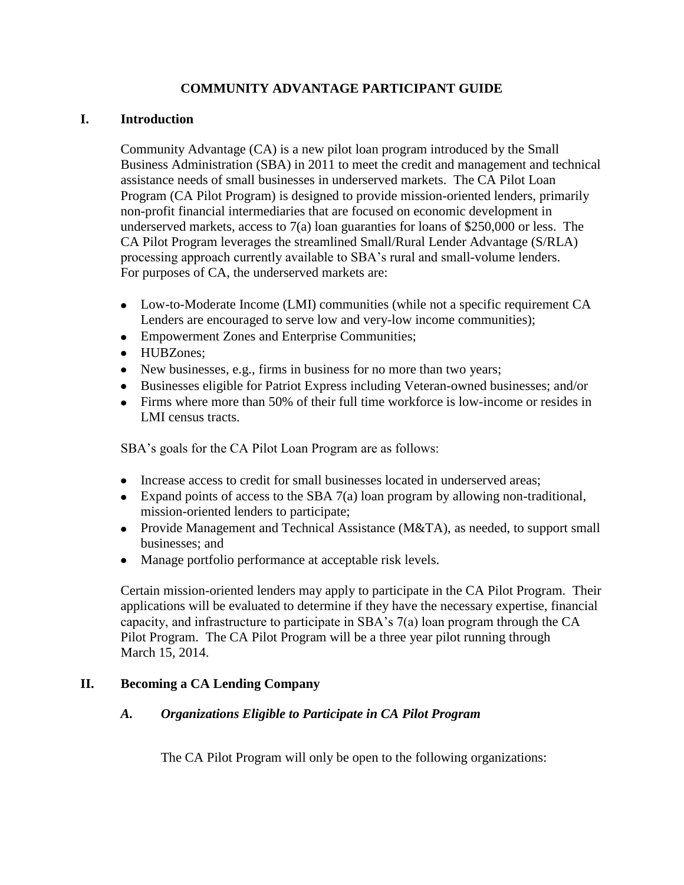# **COMMUNITY ADVANTAGE PARTICIPANT GUIDE**

## **I. Introduction**

Community Advantage (CA) is a new pilot loan program introduced by the Small Business Administration (SBA) in 2011 to meet the credit and management and technical assistance needs of small businesses in underserved markets. The CA Pilot Loan Program (CA Pilot Program) is designed to provide mission-oriented lenders, primarily non-profit financial intermediaries that are focused on economic development in underserved markets, access to 7(a) loan guaranties for loans of \$250,000 or less. The CA Pilot Program leverages the streamlined Small/Rural Lender Advantage (S/RLA) processing approach currently available to SBA's rural and small-volume lenders. For purposes of CA, the underserved markets are:

- Low-to-Moderate Income (LMI) communities (while not a specific requirement CA Lenders are encouraged to serve low and very-low income communities);
- Empowerment Zones and Enterprise Communities;
- HUBZones;
- New businesses, e.g., firms in business for no more than two years;
- Businesses eligible for Patriot Express including Veteran-owned businesses; and/or
- Firms where more than 50% of their full time workforce is low-income or resides in LMI census tracts.

SBA's goals for the CA Pilot Loan Program are as follows:

- Increase access to credit for small businesses located in underserved areas;
- Expand points of access to the SBA 7(a) loan program by allowing non-traditional, mission-oriented lenders to participate;
- Provide Management and Technical Assistance (M&TA), as needed, to support small businesses; and
- Manage portfolio performance at acceptable risk levels.  $\bullet$

Certain mission-oriented lenders may apply to participate in the CA Pilot Program. Their applications will be evaluated to determine if they have the necessary expertise, financial capacity, and infrastructure to participate in SBA's 7(a) loan program through the CA Pilot Program. The CA Pilot Program will be a three year pilot running through March 15, 2014.

# **II. Becoming a CA Lending Company**

# *A. Organizations Eligible to Participate in CA Pilot Program*

The CA Pilot Program will only be open to the following organizations: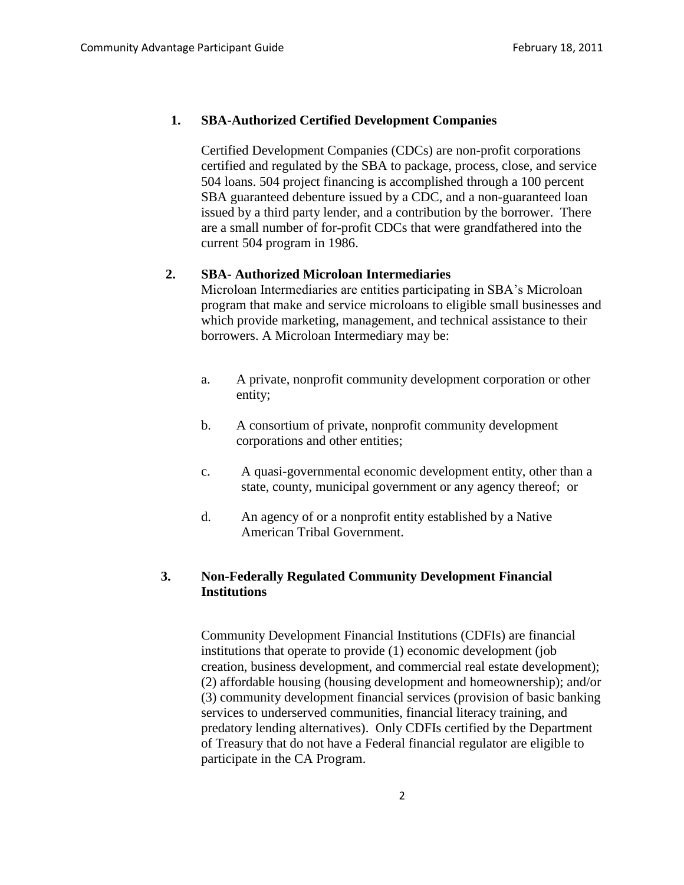#### **1. SBA-Authorized Certified Development Companies**

Certified Development Companies (CDCs) are non-profit corporations certified and regulated by the SBA to package, process, close, and service 504 loans. 504 project financing is accomplished through a 100 percent SBA guaranteed debenture issued by a CDC, and a non-guaranteed loan issued by a third party lender, and a contribution by the borrower. There are a small number of for-profit CDCs that were grandfathered into the current 504 program in 1986.

### **2. SBA- Authorized Microloan Intermediaries**

Microloan Intermediaries are entities participating in SBA's Microloan program that make and service microloans to eligible small businesses and which provide marketing, management, and technical assistance to their borrowers. A Microloan Intermediary may be:

- a. A private, nonprofit community development corporation or other entity;
- b. A consortium of private, nonprofit community development corporations and other entities;
- c. A quasi-governmental economic development entity, other than a state, county, municipal government or any agency thereof; or
- d. An agency of or a nonprofit entity established by a Native American Tribal Government.

# **3. Non-Federally Regulated Community Development Financial Institutions**

Community Development Financial Institutions (CDFIs) are financial institutions that operate to provide (1) economic development (job creation, business development, and commercial real estate development); (2) affordable housing (housing development and homeownership); and/or (3) community development financial services (provision of basic banking services to underserved communities, financial literacy training, and predatory lending alternatives). Only CDFIs certified by the Department of Treasury that do not have a Federal financial regulator are eligible to participate in the CA Program.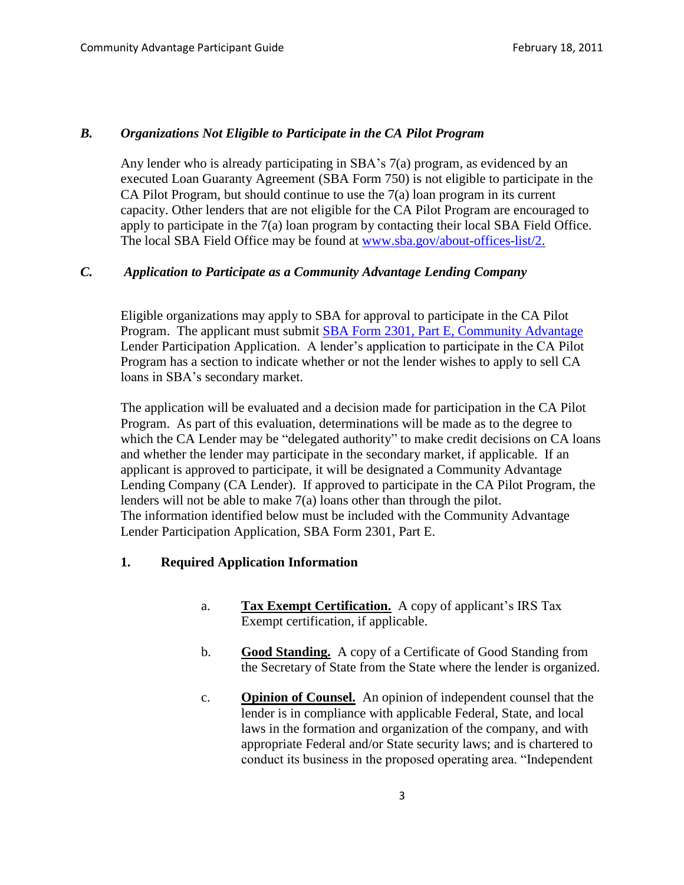#### *B. Organizations Not Eligible to Participate in the CA Pilot Program*

Any lender who is already participating in SBA's 7(a) program, as evidenced by an executed Loan Guaranty Agreement (SBA Form 750) is not eligible to participate in the CA Pilot Program, but should continue to use the  $7(a)$  loan program in its current capacity. Other lenders that are not eligible for the CA Pilot Program are encouraged to apply to participate in the 7(a) loan program by contacting their local SBA Field Office. The local SBA Field Office may be found at [www.sba.gov/about-offices-list/2.](http://www.sba.gov/about-offices-list/2)

# *C. Application to Participate as a Community Advantage Lending Company*

Eligible organizations may apply to SBA for approval to participate in the CA Pilot Program. The applicant must submit **SBA Form 2301, Part E, Community Advantage** Lender Participation Application. A lender's application to participate in the CA Pilot Program has a section to indicate whether or not the lender wishes to apply to sell CA loans in SBA's secondary market.

The application will be evaluated and a decision made for participation in the CA Pilot Program. As part of this evaluation, determinations will be made as to the degree to which the CA Lender may be "delegated authority" to make credit decisions on CA loans and whether the lender may participate in the secondary market, if applicable. If an applicant is approved to participate, it will be designated a Community Advantage Lending Company (CA Lender). If approved to participate in the CA Pilot Program, the lenders will not be able to make 7(a) loans other than through the pilot. The information identified below must be included with the Community Advantage Lender Participation Application, SBA Form 2301, Part E.

### **1. Required Application Information**

- a. **Tax Exempt Certification.** A copy of applicant's IRS Tax Exempt certification, if applicable.
- b. **Good Standing.** A copy of a Certificate of Good Standing from the Secretary of State from the State where the lender is organized.
- c. **Opinion of Counsel.** An opinion of independent counsel that the lender is in compliance with applicable Federal, State, and local laws in the formation and organization of the company, and with appropriate Federal and/or State security laws; and is chartered to conduct its business in the proposed operating area. "Independent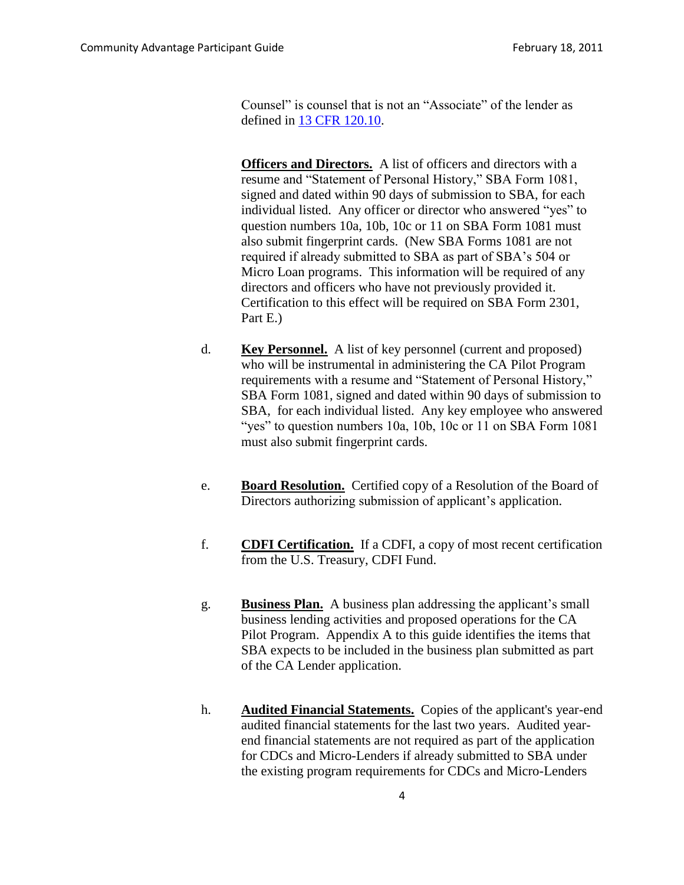Counsel" is counsel that is not an "Associate" of the lender as defined in [13 CFR 120.10.](http://ecfr.gpoaccess.gov/cgi/t/text/text-idx?c=ecfr&sid=fabad1215f40e2ecc505747a3411b4d4&rgn=div8&view=text&node=13:1.0.1.1.15.0.187.4&idno=13)

**Officers and Directors.** A list of officers and directors with a resume and "Statement of Personal History," SBA Form 1081, signed and dated within 90 days of submission to SBA, for each individual listed. Any officer or director who answered "yes" to question numbers 10a, 10b, 10c or 11 on SBA Form 1081 must also submit fingerprint cards. (New SBA Forms 1081 are not required if already submitted to SBA as part of SBA's 504 or Micro Loan programs. This information will be required of any directors and officers who have not previously provided it. Certification to this effect will be required on SBA Form 2301, Part E.)

- d. **Key Personnel.** A list of key personnel (current and proposed) who will be instrumental in administering the CA Pilot Program requirements with a resume and "Statement of Personal History," SBA Form 1081, signed and dated within 90 days of submission to SBA, for each individual listed. Any key employee who answered "yes" to question numbers 10a, 10b, 10c or 11 on SBA Form 1081 must also submit fingerprint cards.
- e. **Board Resolution.** Certified copy of a Resolution of the Board of Directors authorizing submission of applicant's application.
- f. **CDFI Certification.** If a CDFI, a copy of most recent certification from the U.S. Treasury, CDFI Fund.
- g. **Business Plan.** A business plan addressing the applicant's small business lending activities and proposed operations for the CA Pilot Program. Appendix A to this guide identifies the items that SBA expects to be included in the business plan submitted as part of the CA Lender application.
- h. **Audited Financial Statements.** Copies of the applicant's year-end audited financial statements for the last two years. Audited yearend financial statements are not required as part of the application for CDCs and Micro-Lenders if already submitted to SBA under the existing program requirements for CDCs and Micro-Lenders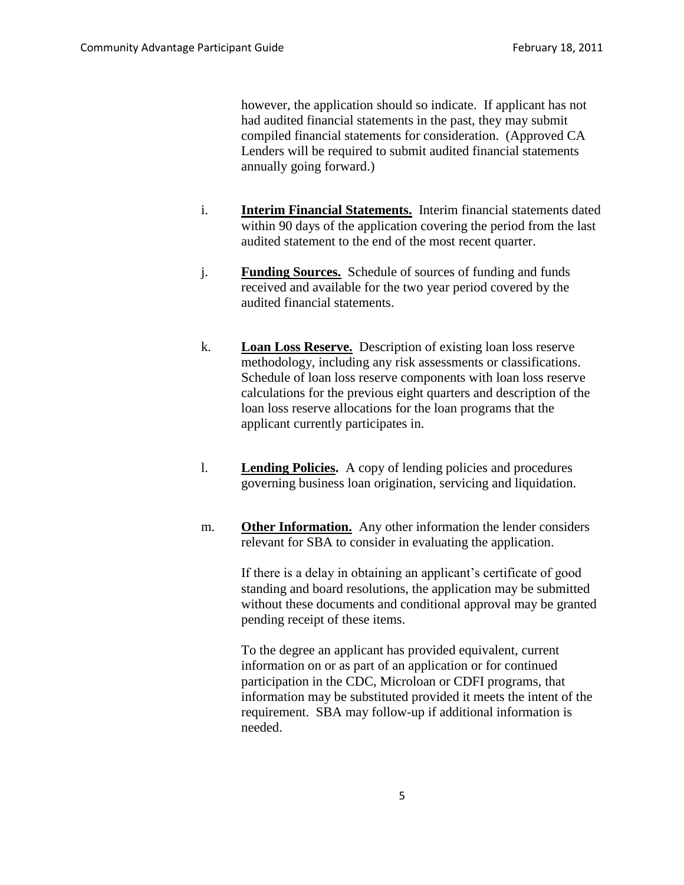however, the application should so indicate. If applicant has not had audited financial statements in the past, they may submit compiled financial statements for consideration. (Approved CA Lenders will be required to submit audited financial statements annually going forward.)

- i. **Interim Financial Statements.** Interim financial statements dated within 90 days of the application covering the period from the last audited statement to the end of the most recent quarter.
- j. **Funding Sources.** Schedule of sources of funding and funds received and available for the two year period covered by the audited financial statements.
- k. **Loan Loss Reserve.** Description of existing loan loss reserve methodology, including any risk assessments or classifications. Schedule of loan loss reserve components with loan loss reserve calculations for the previous eight quarters and description of the loan loss reserve allocations for the loan programs that the applicant currently participates in.
- l. **Lending Policies.** A copy of lending policies and procedures governing business loan origination, servicing and liquidation.
- m. **Other Information.** Any other information the lender considers relevant for SBA to consider in evaluating the application.

If there is a delay in obtaining an applicant's certificate of good standing and board resolutions, the application may be submitted without these documents and conditional approval may be granted pending receipt of these items.

To the degree an applicant has provided equivalent, current information on or as part of an application or for continued participation in the CDC, Microloan or CDFI programs, that information may be substituted provided it meets the intent of the requirement. SBA may follow-up if additional information is needed.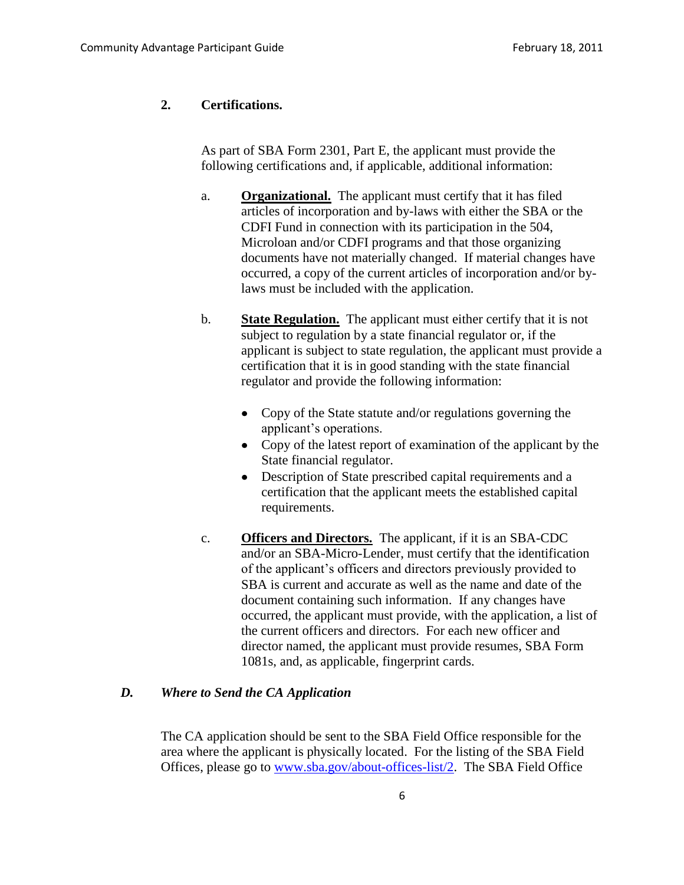#### **2. Certifications.**

As part of SBA Form 2301, Part E, the applicant must provide the following certifications and, if applicable, additional information:

- a. **Organizational.** The applicant must certify that it has filed articles of incorporation and by-laws with either the SBA or the CDFI Fund in connection with its participation in the 504, Microloan and/or CDFI programs and that those organizing documents have not materially changed. If material changes have occurred, a copy of the current articles of incorporation and/or bylaws must be included with the application.
- b. **State Regulation.** The applicant must either certify that it is not subject to regulation by a state financial regulator or, if the applicant is subject to state regulation, the applicant must provide a certification that it is in good standing with the state financial regulator and provide the following information:
	- Copy of the State statute and/or regulations governing the  $\bullet$ applicant's operations.
	- Copy of the latest report of examination of the applicant by the State financial regulator.
	- Description of State prescribed capital requirements and a certification that the applicant meets the established capital requirements.
- c. **Officers and Directors.** The applicant, if it is an SBA-CDC and/or an SBA-Micro-Lender, must certify that the identification of the applicant's officers and directors previously provided to SBA is current and accurate as well as the name and date of the document containing such information. If any changes have occurred, the applicant must provide, with the application, a list of the current officers and directors. For each new officer and director named, the applicant must provide resumes, SBA Form 1081s, and, as applicable, fingerprint cards.

### *D. Where to Send the CA Application*

The CA application should be sent to the SBA Field Office responsible for the area where the applicant is physically located. For the listing of the SBA Field Offices, please go to [www.sba.gov/about-offices-list/2.](http://www.sba.gov/about-offices-list/2) The SBA Field Office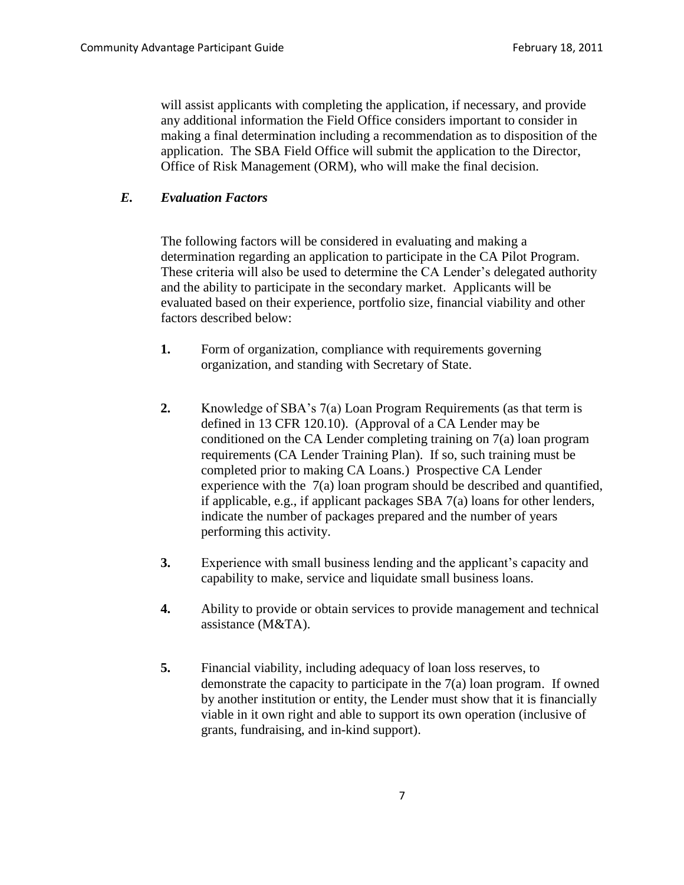will assist applicants with completing the application, if necessary, and provide any additional information the Field Office considers important to consider in making a final determination including a recommendation as to disposition of the application. The SBA Field Office will submit the application to the Director, Office of Risk Management (ORM), who will make the final decision.

### *E. Evaluation Factors*

The following factors will be considered in evaluating and making a determination regarding an application to participate in the CA Pilot Program. These criteria will also be used to determine the CA Lender's delegated authority and the ability to participate in the secondary market. Applicants will be evaluated based on their experience, portfolio size, financial viability and other factors described below:

- **1.** Form of organization, compliance with requirements governing organization, and standing with Secretary of State.
- **2.** Knowledge of SBA's 7(a) Loan Program Requirements (as that term is defined in 13 CFR 120.10). (Approval of a CA Lender may be conditioned on the CA Lender completing training on 7(a) loan program requirements (CA Lender Training Plan). If so, such training must be completed prior to making CA Loans.) Prospective CA Lender experience with the 7(a) loan program should be described and quantified, if applicable, e.g., if applicant packages SBA 7(a) loans for other lenders, indicate the number of packages prepared and the number of years performing this activity.
- **3.** Experience with small business lending and the applicant's capacity and capability to make, service and liquidate small business loans.
- **4.** Ability to provide or obtain services to provide management and technical assistance (M&TA).
- **5.** Financial viability, including adequacy of loan loss reserves, to demonstrate the capacity to participate in the 7(a) loan program. If owned by another institution or entity, the Lender must show that it is financially viable in it own right and able to support its own operation (inclusive of grants, fundraising, and in-kind support).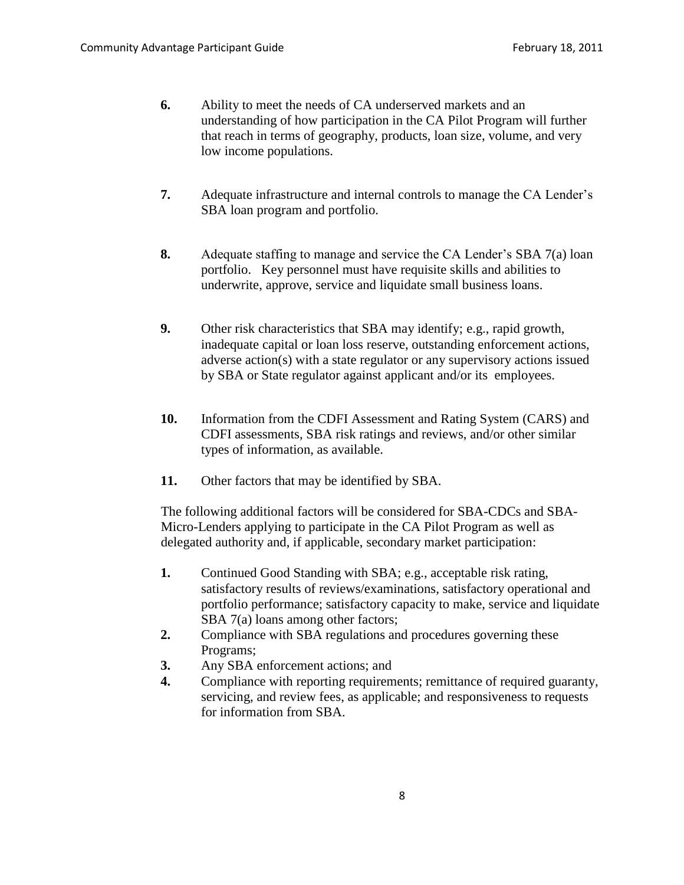- **6.** Ability to meet the needs of CA underserved markets and an understanding of how participation in the CA Pilot Program will further that reach in terms of geography, products, loan size, volume, and very low income populations.
- **7.** Adequate infrastructure and internal controls to manage the CA Lender's SBA loan program and portfolio.
- **8.** Adequate staffing to manage and service the CA Lender's SBA 7(a) loan portfolio. Key personnel must have requisite skills and abilities to underwrite, approve, service and liquidate small business loans.
- **9.** Other risk characteristics that SBA may identify; e.g., rapid growth, inadequate capital or loan loss reserve, outstanding enforcement actions, adverse action(s) with a state regulator or any supervisory actions issued by SBA or State regulator against applicant and/or its employees.
- **10.** Information from the CDFI Assessment and Rating System (CARS) and CDFI assessments, SBA risk ratings and reviews, and/or other similar types of information, as available.
- **11.** Other factors that may be identified by SBA.

The following additional factors will be considered for SBA-CDCs and SBA-Micro-Lenders applying to participate in the CA Pilot Program as well as delegated authority and, if applicable, secondary market participation:

- **1.** Continued Good Standing with SBA; e.g., acceptable risk rating, satisfactory results of reviews/examinations, satisfactory operational and portfolio performance; satisfactory capacity to make, service and liquidate SBA 7(a) loans among other factors;
- **2.** Compliance with SBA regulations and procedures governing these Programs;
- **3.** Any SBA enforcement actions; and
- **4.** Compliance with reporting requirements; remittance of required guaranty, servicing, and review fees, as applicable; and responsiveness to requests for information from SBA.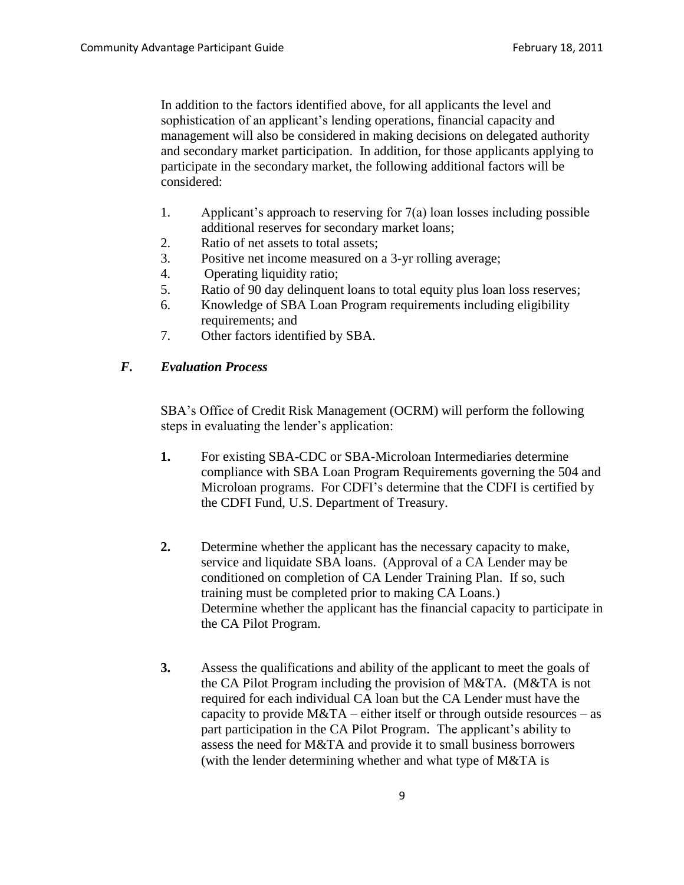In addition to the factors identified above, for all applicants the level and sophistication of an applicant's lending operations, financial capacity and management will also be considered in making decisions on delegated authority and secondary market participation. In addition, for those applicants applying to participate in the secondary market, the following additional factors will be considered:

- 1. Applicant's approach to reserving for 7(a) loan losses including possible additional reserves for secondary market loans;
- 2. Ratio of net assets to total assets;
- 3. Positive net income measured on a 3-yr rolling average;
- 4. Operating liquidity ratio;
- 5. Ratio of 90 day delinquent loans to total equity plus loan loss reserves;
- 6. Knowledge of SBA Loan Program requirements including eligibility requirements; and
- 7. Other factors identified by SBA.

#### *F. Evaluation Process*

SBA's Office of Credit Risk Management (OCRM) will perform the following steps in evaluating the lender's application:

- **1.** For existing SBA-CDC or SBA-Microloan Intermediaries determine compliance with SBA Loan Program Requirements governing the 504 and Microloan programs. For CDFI's determine that the CDFI is certified by the CDFI Fund, U.S. Department of Treasury.
- **2.** Determine whether the applicant has the necessary capacity to make, service and liquidate SBA loans. (Approval of a CA Lender may be conditioned on completion of CA Lender Training Plan. If so, such training must be completed prior to making CA Loans.) Determine whether the applicant has the financial capacity to participate in the CA Pilot Program.
- **3.** Assess the qualifications and ability of the applicant to meet the goals of the CA Pilot Program including the provision of M&TA. (M&TA is not required for each individual CA loan but the CA Lender must have the capacity to provide  $M&TA$  – either itself or through outside resources – as part participation in the CA Pilot Program. The applicant's ability to assess the need for M&TA and provide it to small business borrowers (with the lender determining whether and what type of M&TA is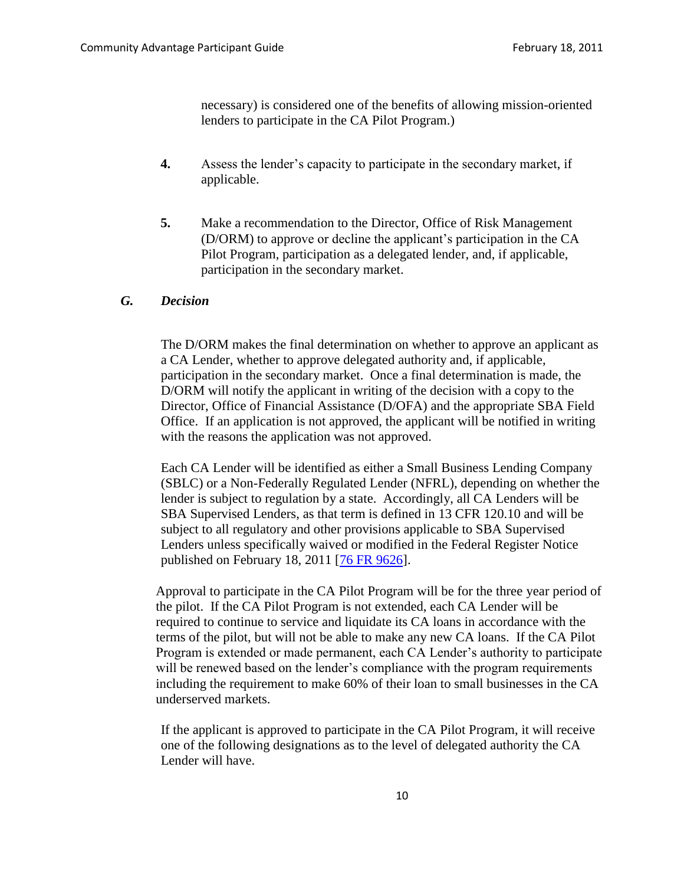necessary) is considered one of the benefits of allowing mission-oriented lenders to participate in the CA Pilot Program.)

- **4.** Assess the lender's capacity to participate in the secondary market, if applicable.
- **5.** Make a recommendation to the Director, Office of Risk Management (D/ORM) to approve or decline the applicant's participation in the CA Pilot Program, participation as a delegated lender, and, if applicable, participation in the secondary market.

#### *G. Decision*

The D/ORM makes the final determination on whether to approve an applicant as a CA Lender, whether to approve delegated authority and, if applicable, participation in the secondary market. Once a final determination is made, the D/ORM will notify the applicant in writing of the decision with a copy to the Director, Office of Financial Assistance (D/OFA) and the appropriate SBA Field Office. If an application is not approved, the applicant will be notified in writing with the reasons the application was not approved.

Each CA Lender will be identified as either a Small Business Lending Company (SBLC) or a Non-Federally Regulated Lender (NFRL), depending on whether the lender is subject to regulation by a state. Accordingly, all CA Lenders will be SBA Supervised Lenders, as that term is defined in 13 CFR 120.10 and will be subject to all regulatory and other provisions applicable to SBA Supervised Lenders unless specifically waived or modified in the Federal Register Notice published on February 18, 2011 [\[76 FR 9626\]](http://edocket.access.gpo.gov/2011/pdf/2011-3758.pdf).

Approval to participate in the CA Pilot Program will be for the three year period of the pilot. If the CA Pilot Program is not extended, each CA Lender will be required to continue to service and liquidate its CA loans in accordance with the terms of the pilot, but will not be able to make any new CA loans. If the CA Pilot Program is extended or made permanent, each CA Lender's authority to participate will be renewed based on the lender's compliance with the program requirements including the requirement to make 60% of their loan to small businesses in the CA underserved markets.

If the applicant is approved to participate in the CA Pilot Program, it will receive one of the following designations as to the level of delegated authority the CA Lender will have.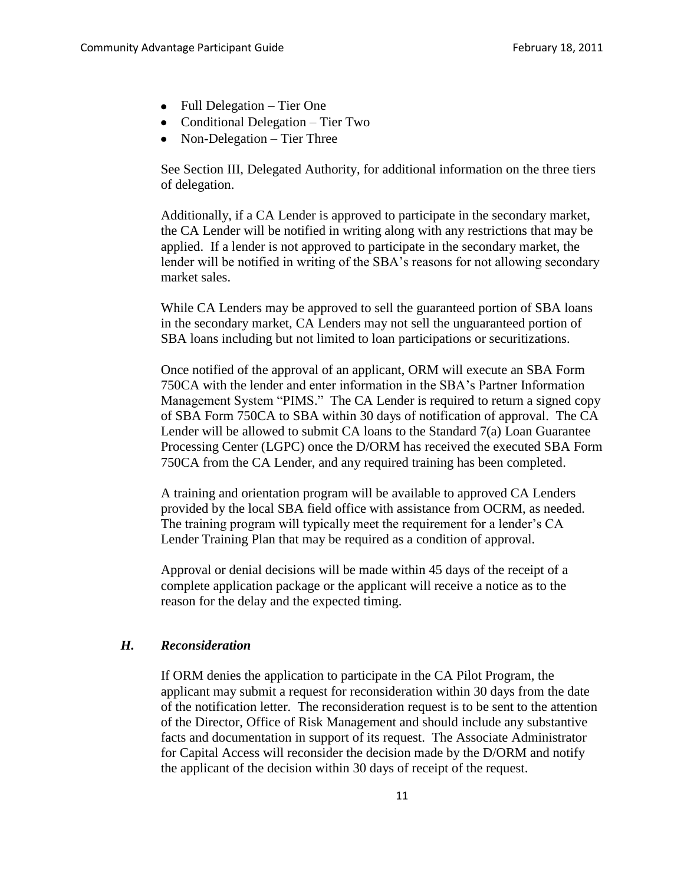- Full Delegation Tier One
- Conditional Delegation Tier Two
- Non-Delegation Tier Three

See Section III, Delegated Authority, for additional information on the three tiers of delegation.

Additionally, if a CA Lender is approved to participate in the secondary market, the CA Lender will be notified in writing along with any restrictions that may be applied. If a lender is not approved to participate in the secondary market, the lender will be notified in writing of the SBA's reasons for not allowing secondary market sales.

While CA Lenders may be approved to sell the guaranteed portion of SBA loans in the secondary market, CA Lenders may not sell the unguaranteed portion of SBA loans including but not limited to loan participations or securitizations.

Once notified of the approval of an applicant, ORM will execute an SBA Form 750CA with the lender and enter information in the SBA's Partner Information Management System "PIMS." The CA Lender is required to return a signed copy of SBA Form 750CA to SBA within 30 days of notification of approval. The CA Lender will be allowed to submit CA loans to the Standard 7(a) Loan Guarantee Processing Center (LGPC) once the D/ORM has received the executed SBA Form 750CA from the CA Lender, and any required training has been completed.

A training and orientation program will be available to approved CA Lenders provided by the local SBA field office with assistance from OCRM, as needed. The training program will typically meet the requirement for a lender's CA Lender Training Plan that may be required as a condition of approval.

Approval or denial decisions will be made within 45 days of the receipt of a complete application package or the applicant will receive a notice as to the reason for the delay and the expected timing.

### *H. Reconsideration*

If ORM denies the application to participate in the CA Pilot Program, the applicant may submit a request for reconsideration within 30 days from the date of the notification letter. The reconsideration request is to be sent to the attention of the Director, Office of Risk Management and should include any substantive facts and documentation in support of its request. The Associate Administrator for Capital Access will reconsider the decision made by the D/ORM and notify the applicant of the decision within 30 days of receipt of the request.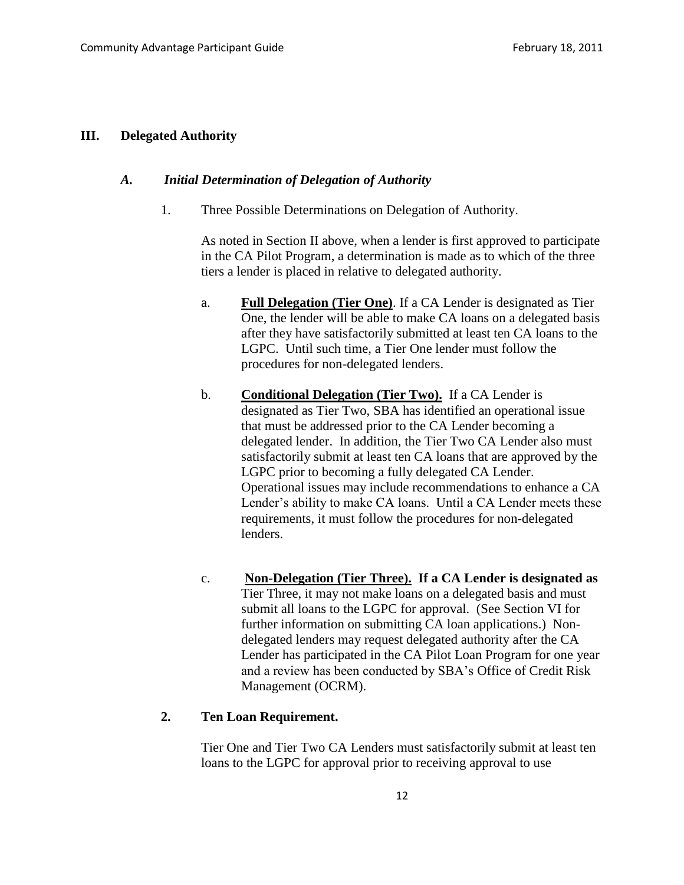#### **III. Delegated Authority**

#### *A. Initial Determination of Delegation of Authority*

1. Three Possible Determinations on Delegation of Authority.

As noted in Section II above, when a lender is first approved to participate in the CA Pilot Program, a determination is made as to which of the three tiers a lender is placed in relative to delegated authority.

- a. **Full Delegation (Tier One)**. If a CA Lender is designated as Tier One, the lender will be able to make CA loans on a delegated basis after they have satisfactorily submitted at least ten CA loans to the LGPC. Until such time, a Tier One lender must follow the procedures for non-delegated lenders.
- b. **Conditional Delegation (Tier Two).** If a CA Lender is designated as Tier Two, SBA has identified an operational issue that must be addressed prior to the CA Lender becoming a delegated lender. In addition, the Tier Two CA Lender also must satisfactorily submit at least ten CA loans that are approved by the LGPC prior to becoming a fully delegated CA Lender. Operational issues may include recommendations to enhance a CA Lender's ability to make CA loans. Until a CA Lender meets these requirements, it must follow the procedures for non-delegated lenders.
- c. **Non-Delegation (Tier Three). If a CA Lender is designated as** Tier Three, it may not make loans on a delegated basis and must submit all loans to the LGPC for approval. (See Section VI for further information on submitting CA loan applications.) Nondelegated lenders may request delegated authority after the CA Lender has participated in the CA Pilot Loan Program for one year and a review has been conducted by SBA's Office of Credit Risk Management (OCRM).

### **2. Ten Loan Requirement.**

Tier One and Tier Two CA Lenders must satisfactorily submit at least ten loans to the LGPC for approval prior to receiving approval to use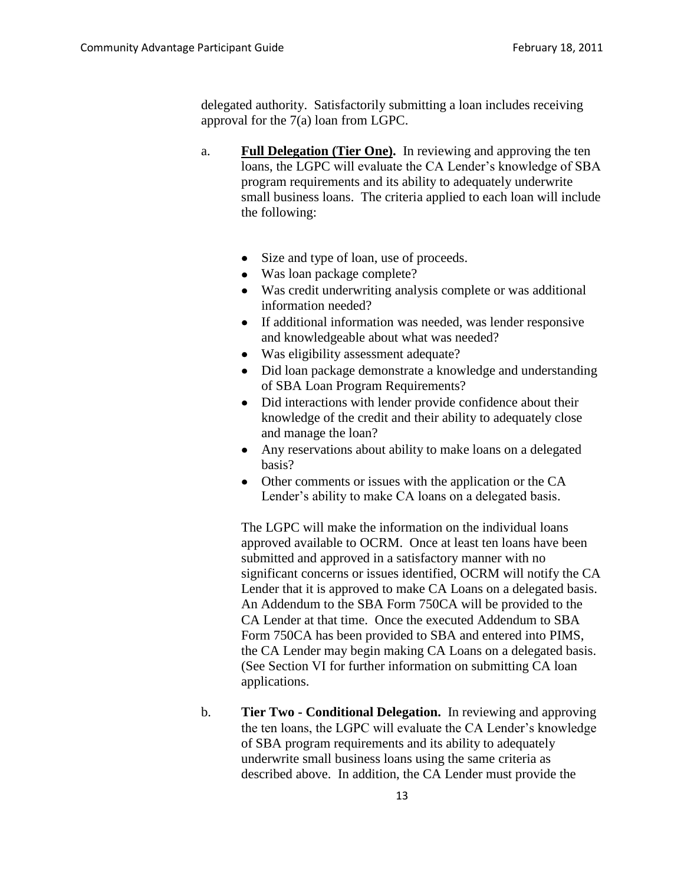delegated authority. Satisfactorily submitting a loan includes receiving approval for the 7(a) loan from LGPC.

- a. **Full Delegation (Tier One).** In reviewing and approving the ten loans, the LGPC will evaluate the CA Lender's knowledge of SBA program requirements and its ability to adequately underwrite small business loans. The criteria applied to each loan will include the following:
	- Size and type of loan, use of proceeds.
	- Was loan package complete?
	- Was credit underwriting analysis complete or was additional information needed?
	- If additional information was needed, was lender responsive  $\bullet$ and knowledgeable about what was needed?
	- Was eligibility assessment adequate?
	- Did loan package demonstrate a knowledge and understanding of SBA Loan Program Requirements?
	- Did interactions with lender provide confidence about their  $\bullet$ knowledge of the credit and their ability to adequately close and manage the loan?
	- Any reservations about ability to make loans on a delegated basis?
	- Other comments or issues with the application or the CA Lender's ability to make CA loans on a delegated basis.

The LGPC will make the information on the individual loans approved available to OCRM. Once at least ten loans have been submitted and approved in a satisfactory manner with no significant concerns or issues identified, OCRM will notify the CA Lender that it is approved to make CA Loans on a delegated basis. An Addendum to the SBA Form 750CA will be provided to the CA Lender at that time. Once the executed Addendum to SBA Form 750CA has been provided to SBA and entered into PIMS, the CA Lender may begin making CA Loans on a delegated basis. (See Section VI for further information on submitting CA loan applications.

b. **Tier Two - Conditional Delegation.** In reviewing and approving the ten loans, the LGPC will evaluate the CA Lender's knowledge of SBA program requirements and its ability to adequately underwrite small business loans using the same criteria as described above. In addition, the CA Lender must provide the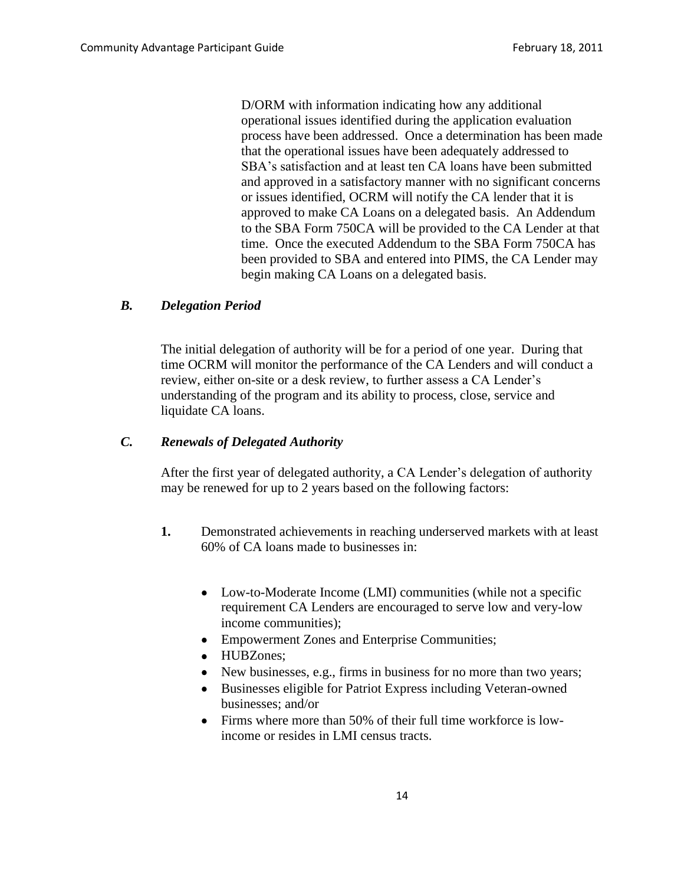D/ORM with information indicating how any additional operational issues identified during the application evaluation process have been addressed. Once a determination has been made that the operational issues have been adequately addressed to SBA's satisfaction and at least ten CA loans have been submitted and approved in a satisfactory manner with no significant concerns or issues identified, OCRM will notify the CA lender that it is approved to make CA Loans on a delegated basis. An Addendum to the SBA Form 750CA will be provided to the CA Lender at that time. Once the executed Addendum to the SBA Form 750CA has been provided to SBA and entered into PIMS, the CA Lender may begin making CA Loans on a delegated basis.

### *B. Delegation Period*

The initial delegation of authority will be for a period of one year. During that time OCRM will monitor the performance of the CA Lenders and will conduct a review, either on-site or a desk review, to further assess a CA Lender's understanding of the program and its ability to process, close, service and liquidate CA loans.

#### *C. Renewals of Delegated Authority*

After the first year of delegated authority, a CA Lender's delegation of authority may be renewed for up to 2 years based on the following factors:

- **1.** Demonstrated achievements in reaching underserved markets with at least 60% of CA loans made to businesses in:
	- Low-to-Moderate Income (LMI) communities (while not a specific requirement CA Lenders are encouraged to serve low and very-low income communities);
	- Empowerment Zones and Enterprise Communities;
	- HUBZones;
	- New businesses, e.g., firms in business for no more than two years;
	- Businesses eligible for Patriot Express including Veteran-owned businesses; and/or
	- Firms where more than 50% of their full time workforce is lowincome or resides in LMI census tracts.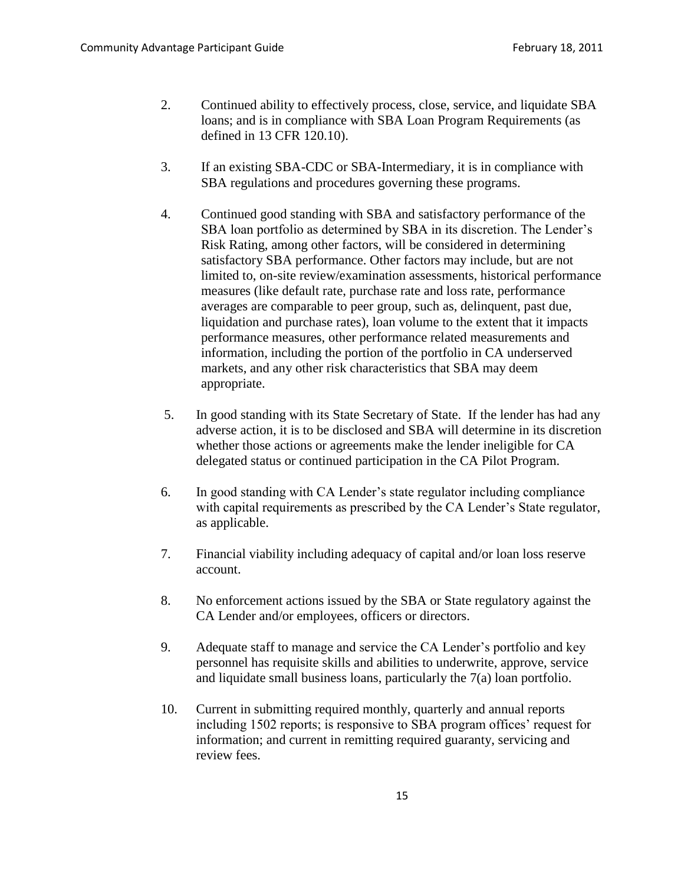- 2. Continued ability to effectively process, close, service, and liquidate SBA loans; and is in compliance with SBA Loan Program Requirements (as defined in 13 CFR 120.10).
- 3. If an existing SBA-CDC or SBA-Intermediary, it is in compliance with SBA regulations and procedures governing these programs.
- 4. Continued good standing with SBA and satisfactory performance of the SBA loan portfolio as determined by SBA in its discretion. The Lender's Risk Rating, among other factors, will be considered in determining satisfactory SBA performance. Other factors may include, but are not limited to, on-site review/examination assessments, historical performance measures (like default rate, purchase rate and loss rate, performance averages are comparable to peer group, such as, delinquent, past due, liquidation and purchase rates), loan volume to the extent that it impacts performance measures, other performance related measurements and information, including the portion of the portfolio in CA underserved markets, and any other risk characteristics that SBA may deem appropriate.
- 5. In good standing with its State Secretary of State. If the lender has had any adverse action, it is to be disclosed and SBA will determine in its discretion whether those actions or agreements make the lender ineligible for CA delegated status or continued participation in the CA Pilot Program.
- 6. In good standing with CA Lender's state regulator including compliance with capital requirements as prescribed by the CA Lender's State regulator, as applicable.
- 7. Financial viability including adequacy of capital and/or loan loss reserve account.
- 8. No enforcement actions issued by the SBA or State regulatory against the CA Lender and/or employees, officers or directors.
- 9. Adequate staff to manage and service the CA Lender's portfolio and key personnel has requisite skills and abilities to underwrite, approve, service and liquidate small business loans, particularly the 7(a) loan portfolio.
- 10. Current in submitting required monthly, quarterly and annual reports including 1502 reports; is responsive to SBA program offices' request for information; and current in remitting required guaranty, servicing and review fees.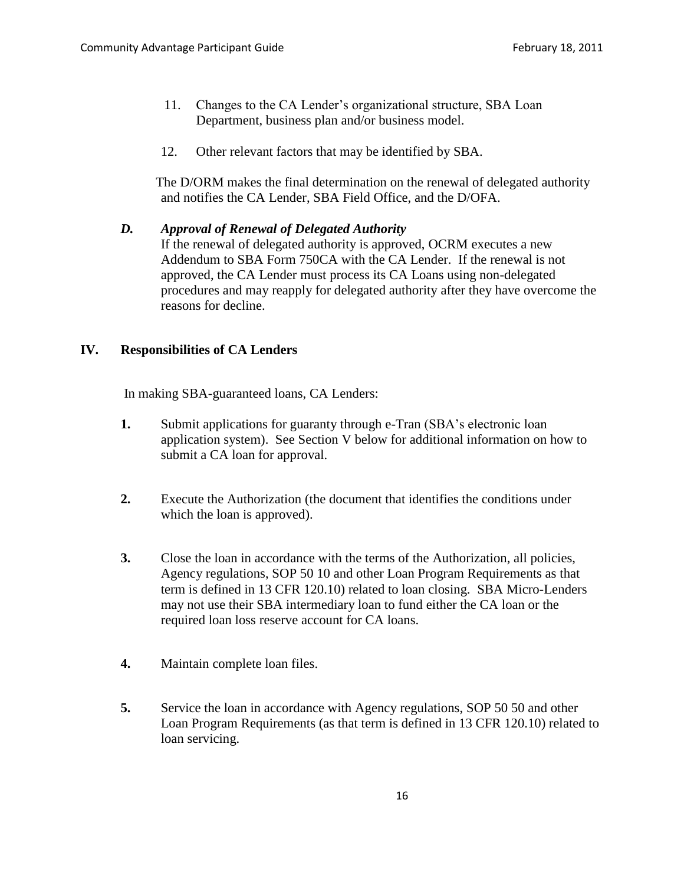- 11. Changes to the CA Lender's organizational structure, SBA Loan Department, business plan and/or business model.
- 12. Other relevant factors that may be identified by SBA.

The D/ORM makes the final determination on the renewal of delegated authority and notifies the CA Lender, SBA Field Office, and the D/OFA.

#### *D. Approval of Renewal of Delegated Authority*

If the renewal of delegated authority is approved, OCRM executes a new Addendum to SBA Form 750CA with the CA Lender. If the renewal is not approved, the CA Lender must process its CA Loans using non-delegated procedures and may reapply for delegated authority after they have overcome the reasons for decline.

## **IV. Responsibilities of CA Lenders**

In making SBA-guaranteed loans, CA Lenders:

- **1.** Submit applications for guaranty through e-Tran (SBA's electronic loan application system). See Section V below for additional information on how to submit a CA loan for approval.
- **2.** Execute the Authorization (the document that identifies the conditions under which the loan is approved).
- **3.** Close the loan in accordance with the terms of the Authorization, all policies, Agency regulations, SOP 50 10 and other Loan Program Requirements as that term is defined in 13 CFR 120.10) related to loan closing. SBA Micro-Lenders may not use their SBA intermediary loan to fund either the CA loan or the required loan loss reserve account for CA loans.
- **4.** Maintain complete loan files.
- **5.** Service the loan in accordance with Agency regulations, SOP 50 50 and other Loan Program Requirements (as that term is defined in 13 CFR 120.10) related to loan servicing.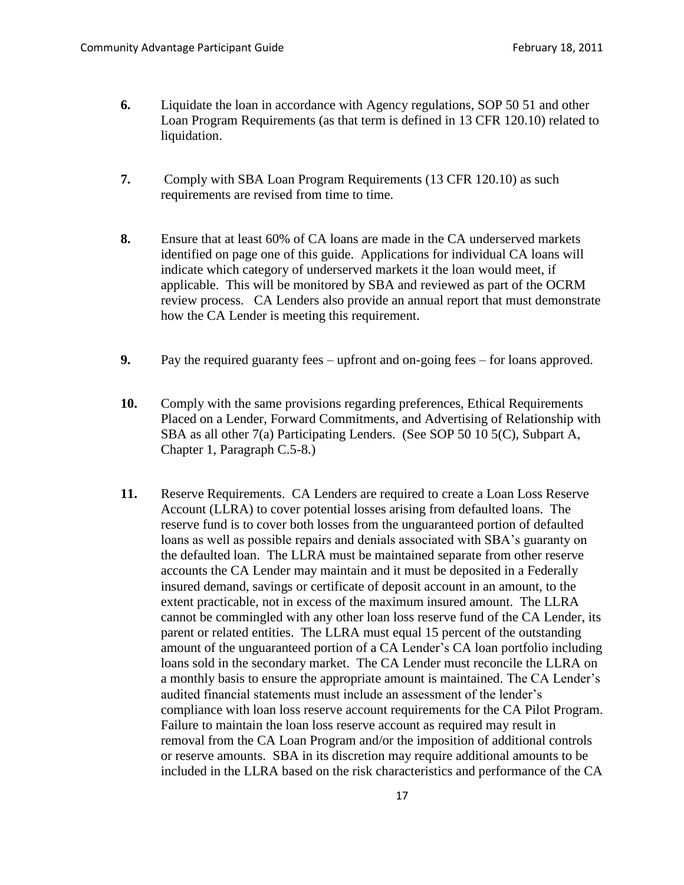- **6.** Liquidate the loan in accordance with Agency regulations, SOP 50 51 and other Loan Program Requirements (as that term is defined in 13 CFR 120.10) related to liquidation.
- **7.** Comply with SBA Loan Program Requirements (13 CFR 120.10) as such requirements are revised from time to time.
- **8.** Ensure that at least 60% of CA loans are made in the CA underserved markets identified on page one of this guide. Applications for individual CA loans will indicate which category of underserved markets it the loan would meet, if applicable. This will be monitored by SBA and reviewed as part of the OCRM review process. CA Lenders also provide an annual report that must demonstrate how the CA Lender is meeting this requirement.
- **9.** Pay the required guaranty fees upfront and on-going fees for loans approved.
- **10.** Comply with the same provisions regarding preferences, Ethical Requirements Placed on a Lender, Forward Commitments, and Advertising of Relationship with SBA as all other 7(a) Participating Lenders. (See SOP 50 10 5(C), Subpart A, Chapter 1, Paragraph C.5-8.)
- **11.** Reserve Requirements. CA Lenders are required to create a Loan Loss Reserve Account (LLRA) to cover potential losses arising from defaulted loans. The reserve fund is to cover both losses from the unguaranteed portion of defaulted loans as well as possible repairs and denials associated with SBA's guaranty on the defaulted loan. The LLRA must be maintained separate from other reserve accounts the CA Lender may maintain and it must be deposited in a Federally insured demand, savings or certificate of deposit account in an amount, to the extent practicable, not in excess of the maximum insured amount. The LLRA cannot be commingled with any other loan loss reserve fund of the CA Lender, its parent or related entities. The LLRA must equal 15 percent of the outstanding amount of the unguaranteed portion of a CA Lender's CA loan portfolio including loans sold in the secondary market. The CA Lender must reconcile the LLRA on a monthly basis to ensure the appropriate amount is maintained. The CA Lender's audited financial statements must include an assessment of the lender's compliance with loan loss reserve account requirements for the CA Pilot Program. Failure to maintain the loan loss reserve account as required may result in removal from the CA Loan Program and/or the imposition of additional controls or reserve amounts. SBA in its discretion may require additional amounts to be included in the LLRA based on the risk characteristics and performance of the CA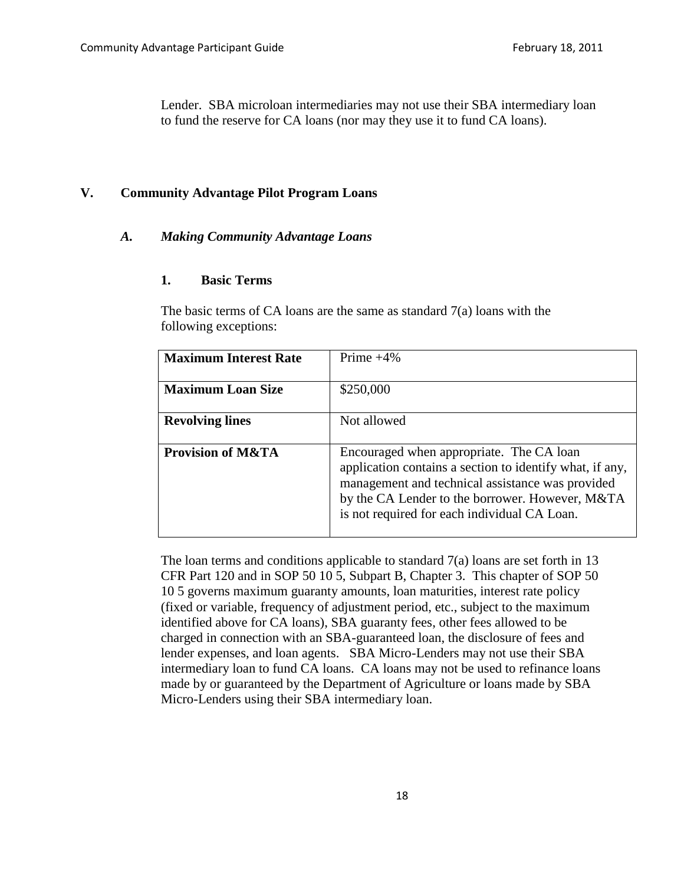Lender. SBA microloan intermediaries may not use their SBA intermediary loan to fund the reserve for CA loans (nor may they use it to fund CA loans).

#### **V. Community Advantage Pilot Program Loans**

#### *A. Making Community Advantage Loans*

#### **1. Basic Terms**

The basic terms of CA loans are the same as standard 7(a) loans with the following exceptions:

| <b>Maximum Interest Rate</b> | Prime $+4\%$                                                                                                                                                                                                                                                |
|------------------------------|-------------------------------------------------------------------------------------------------------------------------------------------------------------------------------------------------------------------------------------------------------------|
| <b>Maximum Loan Size</b>     | \$250,000                                                                                                                                                                                                                                                   |
| <b>Revolving lines</b>       | Not allowed                                                                                                                                                                                                                                                 |
| <b>Provision of M&amp;TA</b> | Encouraged when appropriate. The CA loan<br>application contains a section to identify what, if any,<br>management and technical assistance was provided<br>by the CA Lender to the borrower. However, M&TA<br>is not required for each individual CA Loan. |

The loan terms and conditions applicable to standard 7(a) loans are set forth in 13 CFR Part 120 and in SOP 50 10 5, Subpart B, Chapter 3. This chapter of SOP 50 10 5 governs maximum guaranty amounts, loan maturities, interest rate policy (fixed or variable, frequency of adjustment period, etc., subject to the maximum identified above for CA loans), SBA guaranty fees, other fees allowed to be charged in connection with an SBA-guaranteed loan, the disclosure of fees and lender expenses, and loan agents. SBA Micro-Lenders may not use their SBA intermediary loan to fund CA loans. CA loans may not be used to refinance loans made by or guaranteed by the Department of Agriculture or loans made by SBA Micro-Lenders using their SBA intermediary loan.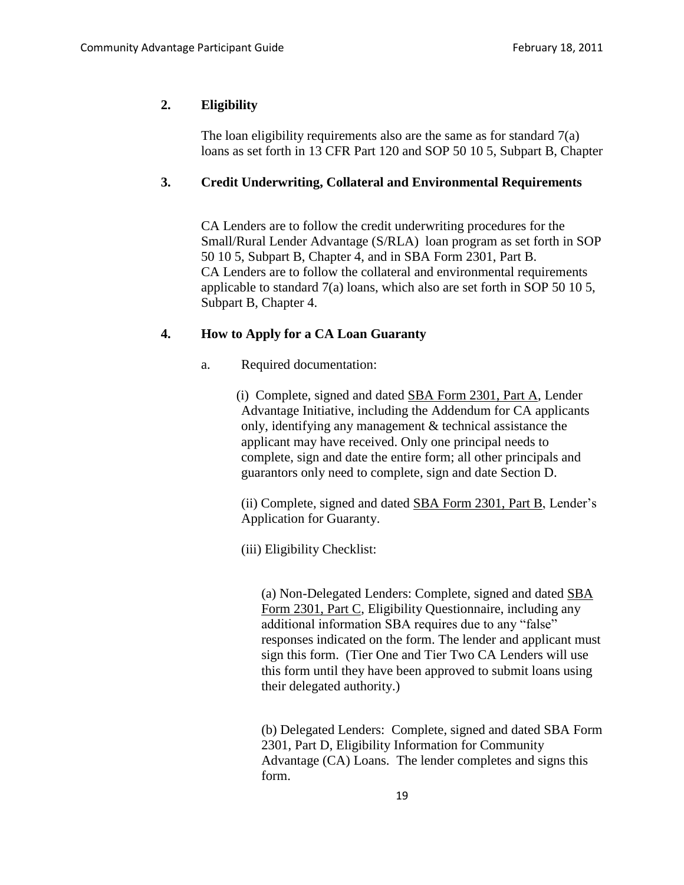## **2.****Eligibility**

The loan eligibility requirements also are the same as for standard  $7(a)$ loans as set forth in 13 CFR Part 120 and SOP 50 10 5, Subpart B, Chapter

### **3. Credit Underwriting, Collateral and Environmental Requirements**

CA Lenders are to follow the credit underwriting procedures for the Small/Rural Lender Advantage (S/RLA) loan program as set forth in SOP 50 10 5, Subpart B, Chapter 4, and in SBA Form 2301, Part B. CA Lenders are to follow the collateral and environmental requirements applicable to standard 7(a) loans, which also are set forth in SOP 50 10 5, Subpart B, Chapter 4.

#### **4. How to Apply for a CA Loan Guaranty**

a. Required documentation:

(i) Complete, signed and dated [SBA Form 2301, Part A,](http://www.sba.gov/idc/groups/public/documents/sba_program_office/tools_sbf_forms_2301a.pdf) Lender Advantage Initiative, including the Addendum for CA applicants only, identifying any management & technical assistance the applicant may have received. Only one principal needs to complete, sign and date the entire form; all other principals and guarantors only need to complete, sign and date Section D.

(ii) Complete, signed and dated [SBA Form 2301, Part B,](http://www.sba.gov/idc/groups/public/documents/sba_program_office/tools_sbf_forms_2301b.pdf) Lender's Application for Guaranty.

(iii) Eligibility Checklist:

(a) Non-Delegated Lenders: Complete, signed and dated [SBA](http://www.sba.gov/idc/groups/public/documents/sba_homepage/tools_sbf_forms_2301c.pdf)  [Form 2301, Part C](http://www.sba.gov/idc/groups/public/documents/sba_homepage/tools_sbf_forms_2301c.pdf), Eligibility Questionnaire, including any additional information SBA requires due to any "false" responses indicated on the form. The lender and applicant must sign this form. (Tier One and Tier Two CA Lenders will use this form until they have been approved to submit loans using their delegated authority.)

(b) Delegated Lenders: Complete, signed and dated SBA Form 2301, Part D, Eligibility Information for Community Advantage (CA) Loans. The lender completes and signs this form.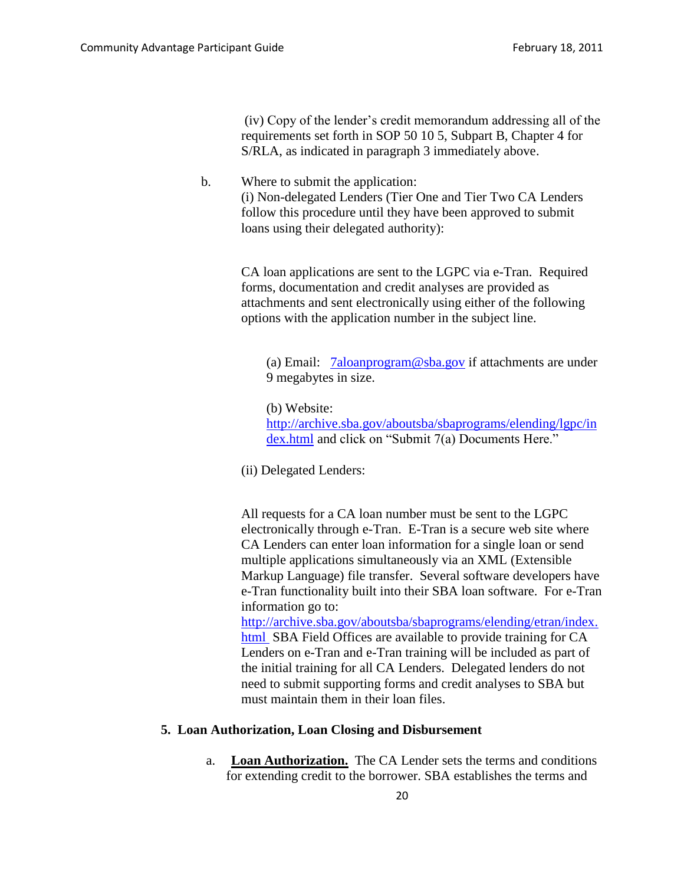(iv) Copy of the lender's credit memorandum addressing all of the requirements set forth in SOP 50 10 5, Subpart B, Chapter 4 for S/RLA, as indicated in paragraph 3 immediately above.

b. Where to submit the application: (i) Non-delegated Lenders (Tier One and Tier Two CA Lenders follow this procedure until they have been approved to submit loans using their delegated authority):

> CA loan applications are sent to the LGPC via e-Tran. Required forms, documentation and credit analyses are provided as attachments and sent electronically using either of the following options with the application number in the subject line.

(a) Email:  $7a$ loanprogram@sba.gov if attachments are under 9 megabytes in size.

(b) Website: [http://archive.sba.gov/aboutsba/sbaprograms/elending/lgpc/in](http://archive.sba.gov/aboutsba/sbaprograms/elending/lgpc/index.html) [dex.html](http://archive.sba.gov/aboutsba/sbaprograms/elending/lgpc/index.html) and click on "Submit 7(a) Documents Here."

(ii) Delegated Lenders:

All requests for a CA loan number must be sent to the LGPC electronically through e-Tran. E-Tran is a secure web site where CA Lenders can enter loan information for a single loan or send multiple applications simultaneously via an XML (Extensible Markup Language) file transfer. Several software developers have e-Tran functionality built into their SBA loan software. For e-Tran information go to:

[http://archive.sba.gov/aboutsba/sbaprograms/elending/etran/index.](http://archive.sba.gov/aboutsba/sbaprograms/elending/etran/index.html) [html](http://archive.sba.gov/aboutsba/sbaprograms/elending/etran/index.html) SBA Field Offices are available to provide training for CA Lenders on e-Tran and e-Tran training will be included as part of the initial training for all CA Lenders. Delegated lenders do not need to submit supporting forms and credit analyses to SBA but must maintain them in their loan files.

#### **5. Loan Authorization, Loan Closing and Disbursement**

a. **Loan Authorization.** The CA Lender sets the terms and conditions for extending credit to the borrower. SBA establishes the terms and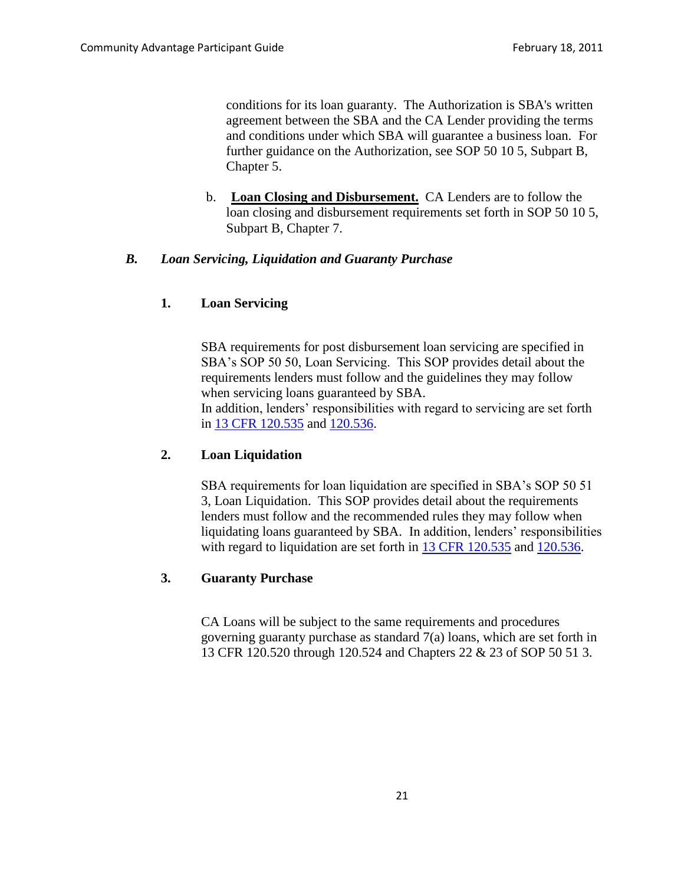conditions for its loan guaranty. The Authorization is SBA's written agreement between the SBA and the CA Lender providing the terms and conditions under which SBA will guarantee a business loan. For further guidance on the Authorization, see SOP 50 10 5, Subpart B, Chapter 5.

b. **Loan Closing and Disbursement.** CA Lenders are to follow the loan closing and disbursement requirements set forth in SOP 50 10 5, Subpart B, Chapter 7.

### *B. Loan Servicing, Liquidation and Guaranty Purchase*

### **1. Loan Servicing**

SBA requirements for post disbursement loan servicing are specified in SBA's SOP 50 50, Loan Servicing. This SOP provides detail about the requirements lenders must follow and the guidelines they may follow when servicing loans guaranteed by SBA.

In addition, lenders' responsibilities with regard to servicing are set forth in [13 CFR 120.535](http://ecfr.gpoaccess.gov/cgi/t/text/text-idx?type=simple;c=ecfr;cc=ecfr;sid=173a2bdbfcb94f7f5abcf14d0091917f;idno=13;region=DIV1;q1=120.535;rgn=div8;view=text;node=13%3A1.0.1.1.15.5.222.9) and [120.536.](http://ecfr.gpoaccess.gov/cgi/t/text/text-idx?type=simple;c=ecfr;cc=ecfr;sid=173a2bdbfcb94f7f5abcf14d0091917f;idno=13;region=DIV1;q1=120.536;rgn=div8;view=text;node=13%3A1.0.1.1.15.5.222.10)

## **2. Loan Liquidation**

SBA requirements for loan liquidation are specified in SBA's SOP 50 51 3, Loan Liquidation. This SOP provides detail about the requirements lenders must follow and the recommended rules they may follow when liquidating loans guaranteed by SBA. In addition, lenders' responsibilities with regard to liquidation are set forth in [13 CFR 120.535](http://ecfr.gpoaccess.gov/cgi/t/text/text-idx?type=simple;c=ecfr;cc=ecfr;sid=173a2bdbfcb94f7f5abcf14d0091917f;idno=13;region=DIV1;q1=120.535;rgn=div8;view=text;node=13%3A1.0.1.1.15.5.222.9) and [120.536.](http://ecfr.gpoaccess.gov/cgi/t/text/text-idx?type=simple;c=ecfr;cc=ecfr;sid=173a2bdbfcb94f7f5abcf14d0091917f;idno=13;region=DIV1;q1=120.536;rgn=div8;view=text;node=13%3A1.0.1.1.15.5.222.10)

### **3. Guaranty Purchase**

CA Loans will be subject to the same requirements and procedures governing guaranty purchase as standard 7(a) loans, which are set forth in 13 CFR 120.520 through 120.524 and Chapters 22 & 23 of SOP 50 51 3.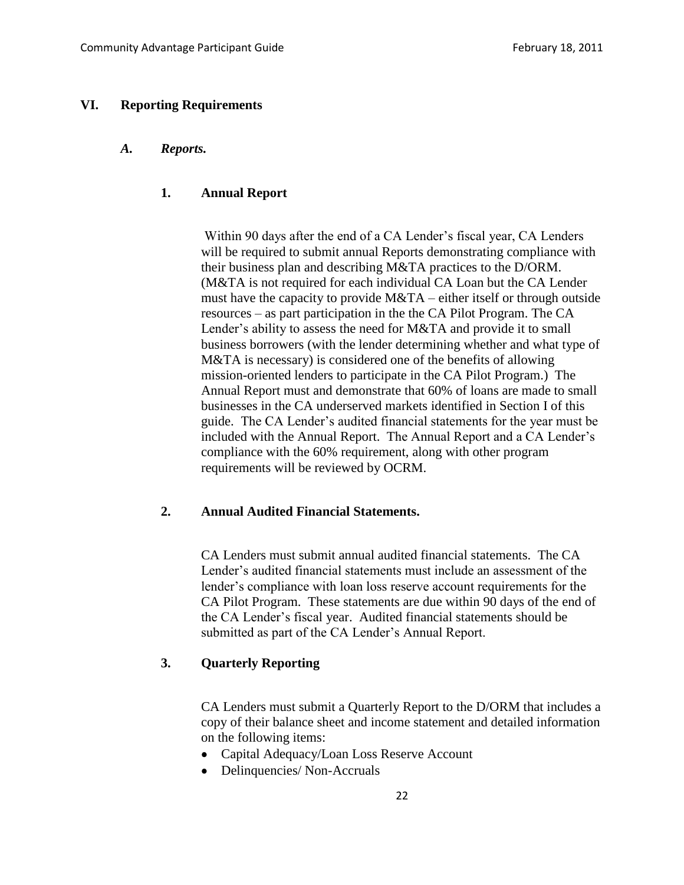#### **VI. Reporting Requirements**

#### *A. Reports.*

### **1. Annual Report**

Within 90 days after the end of a CA Lender's fiscal year, CA Lenders will be required to submit annual Reports demonstrating compliance with their business plan and describing M&TA practices to the D/ORM. (M&TA is not required for each individual CA Loan but the CA Lender must have the capacity to provide M&TA – either itself or through outside resources – as part participation in the the CA Pilot Program. The CA Lender's ability to assess the need for M&TA and provide it to small business borrowers (with the lender determining whether and what type of M&TA is necessary) is considered one of the benefits of allowing mission-oriented lenders to participate in the CA Pilot Program.) The Annual Report must and demonstrate that 60% of loans are made to small businesses in the CA underserved markets identified in Section I of this guide. The CA Lender's audited financial statements for the year must be included with the Annual Report. The Annual Report and a CA Lender's compliance with the 60% requirement, along with other program requirements will be reviewed by OCRM.

### **2. Annual Audited Financial Statements.**

CA Lenders must submit annual audited financial statements. The CA Lender's audited financial statements must include an assessment of the lender's compliance with loan loss reserve account requirements for the CA Pilot Program. These statements are due within 90 days of the end of the CA Lender's fiscal year. Audited financial statements should be submitted as part of the CA Lender's Annual Report.

### **3. Quarterly Reporting**

CA Lenders must submit a Quarterly Report to the D/ORM that includes a copy of their balance sheet and income statement and detailed information on the following items:

- Capital Adequacy/Loan Loss Reserve Account
- Delinquencies/ Non-Accruals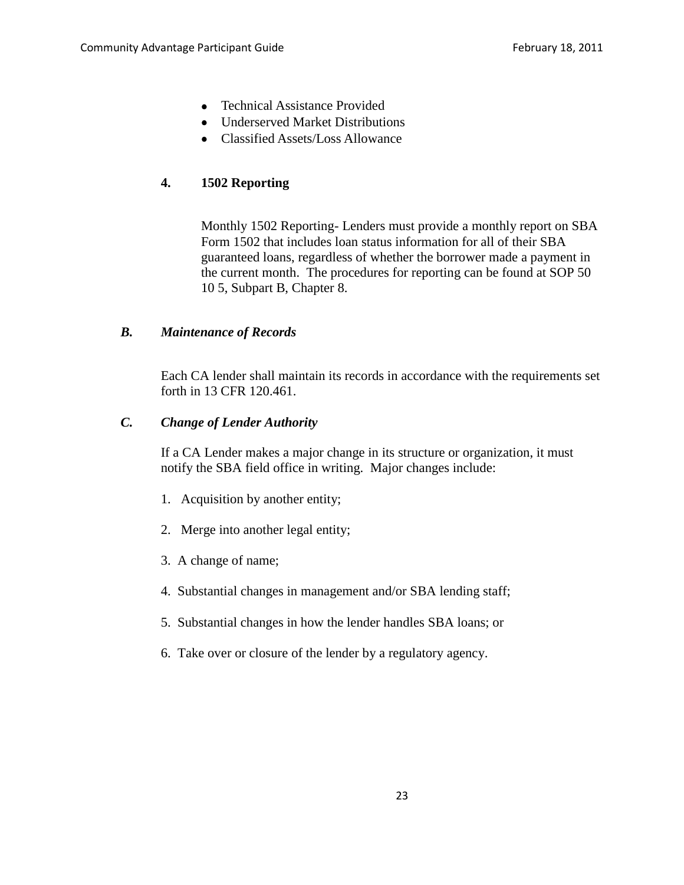- Technical Assistance Provided
- Underserved Market Distributions
- Classified Assets/Loss Allowance

# **4. 1502 Reporting**

Monthly 1502 Reporting- Lenders must provide a monthly report on SBA Form 1502 that includes loan status information for all of their SBA guaranteed loans, regardless of whether the borrower made a payment in the current month. The procedures for reporting can be found at SOP 50 10 5, Subpart B, Chapter 8.

### *B. Maintenance of Records*

Each CA lender shall maintain its records in accordance with the requirements set forth in 13 CFR 120.461.

#### *C. Change of Lender Authority*

If a CA Lender makes a major change in its structure or organization, it must notify the SBA field office in writing. Major changes include:

- 1. Acquisition by another entity;
- 2. Merge into another legal entity;
- 3. A change of name;
- 4. Substantial changes in management and/or SBA lending staff;
- 5. Substantial changes in how the lender handles SBA loans; or
- 6. Take over or closure of the lender by a regulatory agency.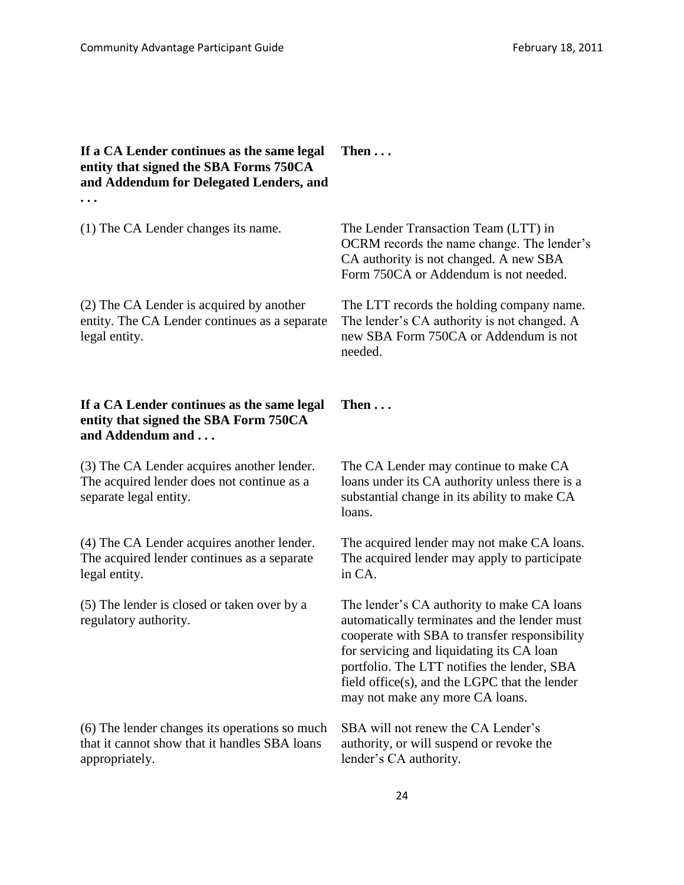### **If a CA Lender continues as the same legal entity that signed the SBA Forms 750CA and Addendum for Delegated Lenders, and . . .**

(2) The CA Lender is acquired by another entity. The CA Lender continues as a separate legal entity.

## **If a CA Lender continues as the same legal entity that signed the SBA Form 750CA and Addendum and . . .**

(3) The CA Lender acquires another lender. The acquired lender does not continue as a separate legal entity.

(4) The CA Lender acquires another lender. The acquired lender continues as a separate legal entity.

(5) The lender is closed or taken over by a regulatory authority.

(6) The lender changes its operations so much that it cannot show that it handles SBA loans appropriately.

# **Then . . .**

(1) The CA Lender changes its name. The Lender Transaction Team (LTT) in OCRM records the name change. The lender's CA authority is not changed. A new SBA Form 750CA or Addendum is not needed.

> The LTT records the holding company name. The lender's CA authority is not changed. A new SBA Form 750CA or Addendum is not needed.

# **Then . . .**

The CA Lender may continue to make CA loans under its CA authority unless there is a substantial change in its ability to make CA loans.

The acquired lender may not make CA loans. The acquired lender may apply to participate in CA.

The lender's CA authority to make CA loans automatically terminates and the lender must cooperate with SBA to transfer responsibility for servicing and liquidating its CA loan portfolio. The LTT notifies the lender, SBA field office(s), and the LGPC that the lender may not make any more CA loans.

SBA will not renew the CA Lender's authority, or will suspend or revoke the lender's CA authority.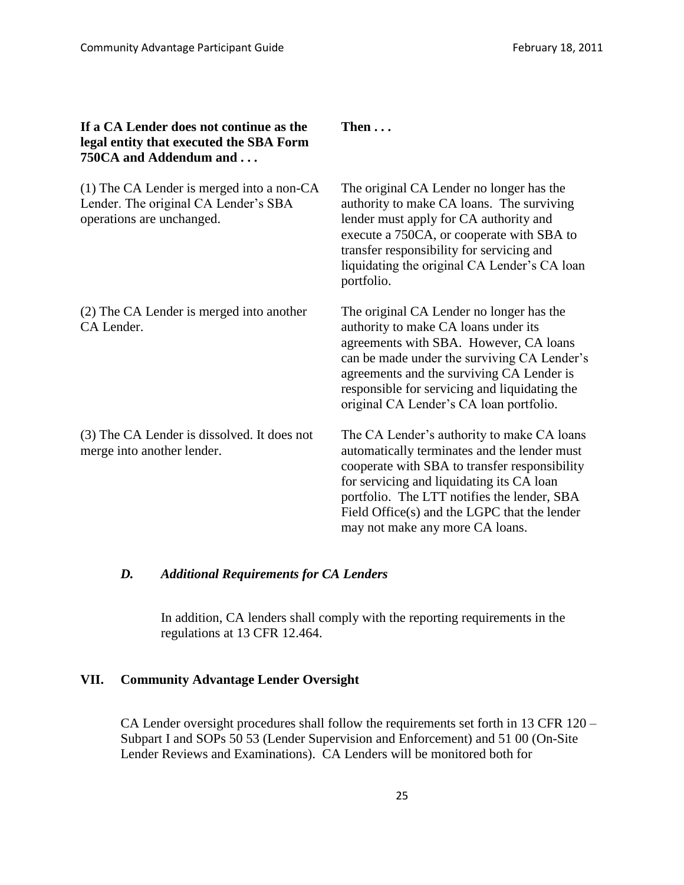| If a CA Lender does not continue as the<br>legal entity that executed the SBA Form<br>750CA and Addendum and     | Then $\ldots$                                                                                                                                                                                                                                                                                                              |
|------------------------------------------------------------------------------------------------------------------|----------------------------------------------------------------------------------------------------------------------------------------------------------------------------------------------------------------------------------------------------------------------------------------------------------------------------|
| $(1)$ The CA Lender is merged into a non-CA<br>Lender. The original CA Lender's SBA<br>operations are unchanged. | The original CA Lender no longer has the<br>authority to make CA loans. The surviving<br>lender must apply for CA authority and<br>execute a 750CA, or cooperate with SBA to<br>transfer responsibility for servicing and<br>liquidating the original CA Lender's CA loan<br>portfolio.                                    |
| (2) The CA Lender is merged into another<br>CA Lender.                                                           | The original CA Lender no longer has the<br>authority to make CA loans under its<br>agreements with SBA. However, CA loans<br>can be made under the surviving CA Lender's<br>agreements and the surviving CA Lender is<br>responsible for servicing and liquidating the<br>original CA Lender's CA loan portfolio.         |
| (3) The CA Lender is dissolved. It does not<br>merge into another lender.                                        | The CA Lender's authority to make CA loans<br>automatically terminates and the lender must<br>cooperate with SBA to transfer responsibility<br>for servicing and liquidating its CA loan<br>portfolio. The LTT notifies the lender, SBA<br>Field Office(s) and the LGPC that the lender<br>may not make any more CA loans. |

# *D. Additional Requirements for CA Lenders*

In addition, CA lenders shall comply with the reporting requirements in the regulations at 13 CFR 12.464.

# **VII. Community Advantage Lender Oversight**

CA Lender oversight procedures shall follow the requirements set forth in 13 CFR 120 – Subpart I and SOPs 50 53 (Lender Supervision and Enforcement) and 51 00 (On-Site Lender Reviews and Examinations). CA Lenders will be monitored both for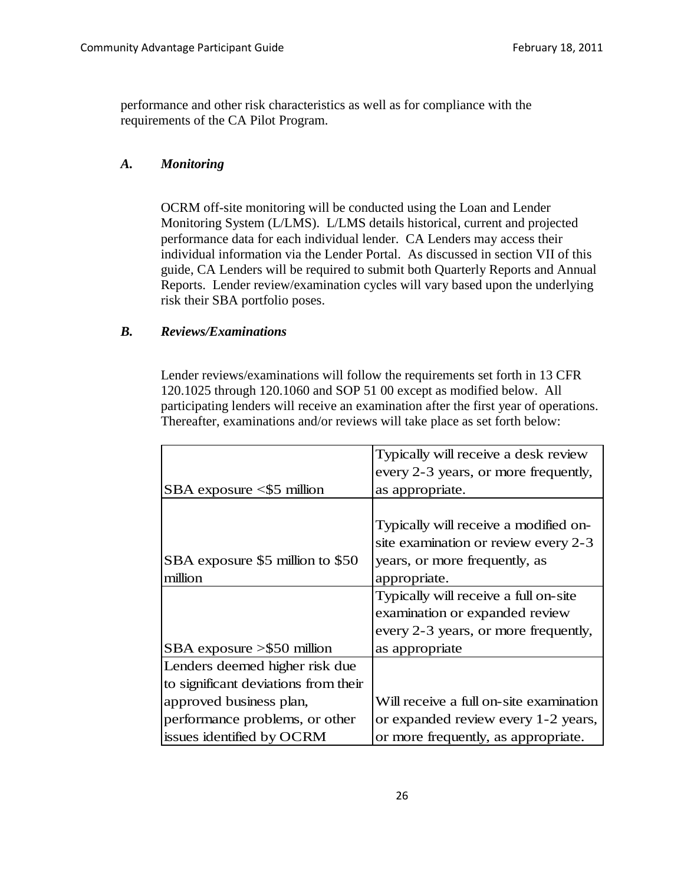performance and other risk characteristics as well as for compliance with the requirements of the CA Pilot Program.

#### *A. Monitoring*

OCRM off-site monitoring will be conducted using the Loan and Lender Monitoring System (L/LMS). L/LMS details historical, current and projected performance data for each individual lender. CA Lenders may access their individual information via the Lender Portal. As discussed in section VII of this guide, CA Lenders will be required to submit both Quarterly Reports and Annual Reports. Lender review/examination cycles will vary based upon the underlying risk their SBA portfolio poses.

#### *B. Reviews/Examinations*

Lender reviews/examinations will follow the requirements set forth in 13 CFR 120.1025 through 120.1060 and SOP 51 00 except as modified below. All participating lenders will receive an examination after the first year of operations. Thereafter, examinations and/or reviews will take place as set forth below:

|                                      | Typically will receive a desk review    |  |
|--------------------------------------|-----------------------------------------|--|
|                                      | every 2-3 years, or more frequently,    |  |
| $SBA$ exposure $\leq$ 5 million      | as appropriate.                         |  |
|                                      |                                         |  |
|                                      | Typically will receive a modified on-   |  |
|                                      | site examination or review every 2-3    |  |
| SBA exposure \$5 million to \$50     | years, or more frequently, as           |  |
| million                              | appropriate.                            |  |
|                                      | Typically will receive a full on-site   |  |
|                                      | examination or expanded review          |  |
|                                      | every 2-3 years, or more frequently,    |  |
| $SBA$ exposure $> $50$ million       | as appropriate                          |  |
| Lenders deemed higher risk due       |                                         |  |
| to significant deviations from their |                                         |  |
| approved business plan,              | Will receive a full on-site examination |  |
| performance problems, or other       | or expanded review every 1-2 years,     |  |
| issues identified by OCRM            | or more frequently, as appropriate.     |  |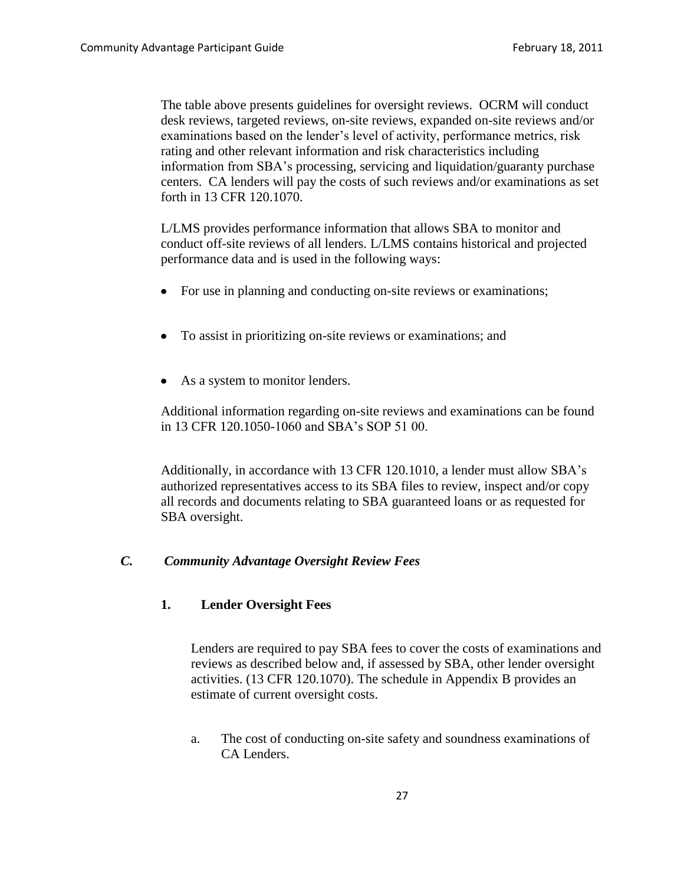The table above presents guidelines for oversight reviews. OCRM will conduct desk reviews, targeted reviews, on-site reviews, expanded on-site reviews and/or examinations based on the lender's level of activity, performance metrics, risk rating and other relevant information and risk characteristics including information from SBA's processing, servicing and liquidation/guaranty purchase centers. CA lenders will pay the costs of such reviews and/or examinations as set forth in 13 CFR 120.1070.

L/LMS provides performance information that allows SBA to monitor and conduct off-site reviews of all lenders. L/LMS contains historical and projected performance data and is used in the following ways:

- For use in planning and conducting on-site reviews or examinations;
- To assist in prioritizing on-site reviews or examinations; and
- As a system to monitor lenders.

Additional information regarding on-site reviews and examinations can be found in 13 CFR 120.1050-1060 and SBA's SOP 51 00.

Additionally, in accordance with 13 CFR 120.1010, a lender must allow SBA's authorized representatives access to its SBA files to review, inspect and/or copy all records and documents relating to SBA guaranteed loans or as requested for SBA oversight.

### *C. Community Advantage Oversight Review Fees*

### **1. Lender Oversight Fees**

Lenders are required to pay SBA fees to cover the costs of examinations and reviews as described below and, if assessed by SBA, other lender oversight activities. (13 CFR 120.1070). The schedule in Appendix B provides an estimate of current oversight costs.

a. The cost of conducting on-site safety and soundness examinations of CA Lenders.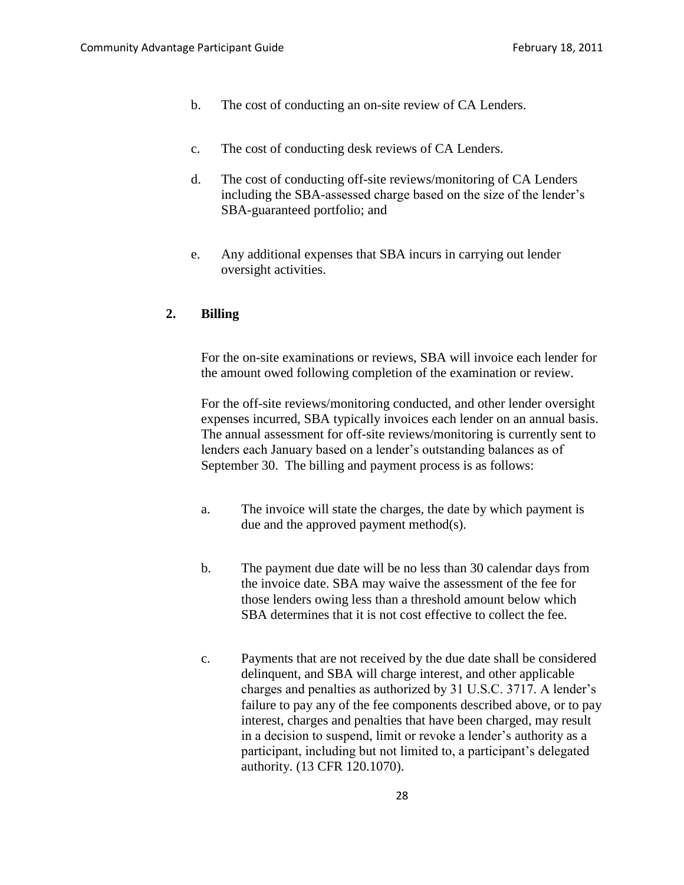- b. The cost of conducting an on-site review of CA Lenders.
- c. The cost of conducting desk reviews of CA Lenders.
- d. The cost of conducting off-site reviews/monitoring of CA Lenders including the SBA-assessed charge based on the size of the lender's SBA-guaranteed portfolio; and
- e. Any additional expenses that SBA incurs in carrying out lender oversight activities.

## **2. Billing**

For the on-site examinations or reviews, SBA will invoice each lender for the amount owed following completion of the examination or review.

For the off-site reviews/monitoring conducted, and other lender oversight expenses incurred, SBA typically invoices each lender on an annual basis. The annual assessment for off-site reviews/monitoring is currently sent to lenders each January based on a lender's outstanding balances as of September 30. The billing and payment process is as follows:

- a. The invoice will state the charges, the date by which payment is due and the approved payment method(s).
- b. The payment due date will be no less than 30 calendar days from the invoice date. SBA may waive the assessment of the fee for those lenders owing less than a threshold amount below which SBA determines that it is not cost effective to collect the fee.
- c. Payments that are not received by the due date shall be considered delinquent, and SBA will charge interest, and other applicable charges and penalties as authorized by 31 U.S.C. 3717. A lender's failure to pay any of the fee components described above, or to pay interest, charges and penalties that have been charged, may result in a decision to suspend, limit or revoke a lender's authority as a participant, including but not limited to, a participant's delegated authority. (13 CFR 120.1070).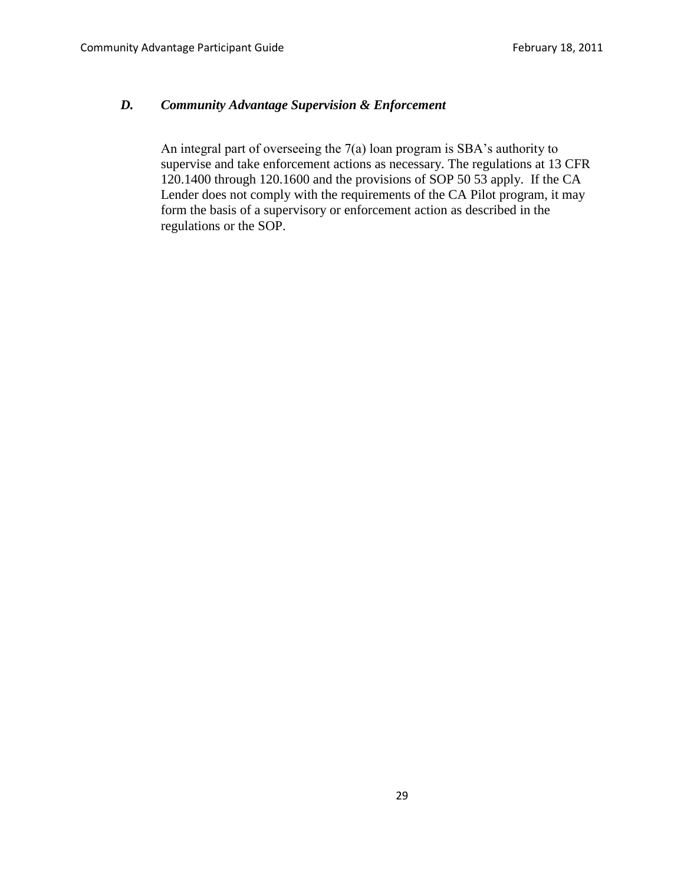# *D. Community Advantage Supervision & Enforcement*

An integral part of overseeing the 7(a) loan program is SBA's authority to supervise and take enforcement actions as necessary. The regulations at 13 CFR 120.1400 through 120.1600 and the provisions of SOP 50 53 apply. If the CA Lender does not comply with the requirements of the CA Pilot program, it may form the basis of a supervisory or enforcement action as described in the regulations or the SOP.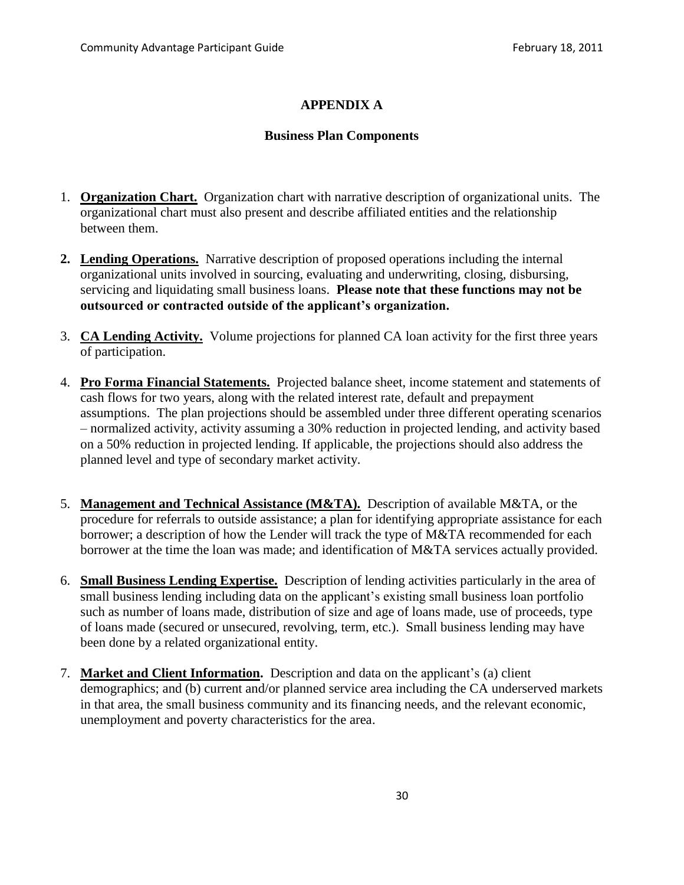# **APPENDIX A**

#### **Business Plan Components**

- 1. **Organization Chart.** Organization chart with narrative description of organizational units. The organizational chart must also present and describe affiliated entities and the relationship between them.
- **2. Lending Operations.** Narrative description of proposed operations including the internal organizational units involved in sourcing, evaluating and underwriting, closing, disbursing, servicing and liquidating small business loans. **Please note that these functions may not be outsourced or contracted outside of the applicant's organization.**
- 3. **CA Lending Activity.** Volume projections for planned CA loan activity for the first three years of participation.
- 4. **Pro Forma Financial Statements.** Projected balance sheet, income statement and statements of cash flows for two years, along with the related interest rate, default and prepayment assumptions. The plan projections should be assembled under three different operating scenarios – normalized activity, activity assuming a 30% reduction in projected lending, and activity based on a 50% reduction in projected lending. If applicable, the projections should also address the planned level and type of secondary market activity.
- 5. **Management and Technical Assistance (M&TA).** Description of available M&TA, or the procedure for referrals to outside assistance; a plan for identifying appropriate assistance for each borrower; a description of how the Lender will track the type of M&TA recommended for each borrower at the time the loan was made; and identification of M&TA services actually provided.
- 6. **Small Business Lending Expertise.** Description of lending activities particularly in the area of small business lending including data on the applicant's existing small business loan portfolio such as number of loans made, distribution of size and age of loans made, use of proceeds, type of loans made (secured or unsecured, revolving, term, etc.). Small business lending may have been done by a related organizational entity.
- 7. **Market and Client Information.** Description and data on the applicant's (a) client demographics; and (b) current and/or planned service area including the CA underserved markets in that area, the small business community and its financing needs, and the relevant economic, unemployment and poverty characteristics for the area.